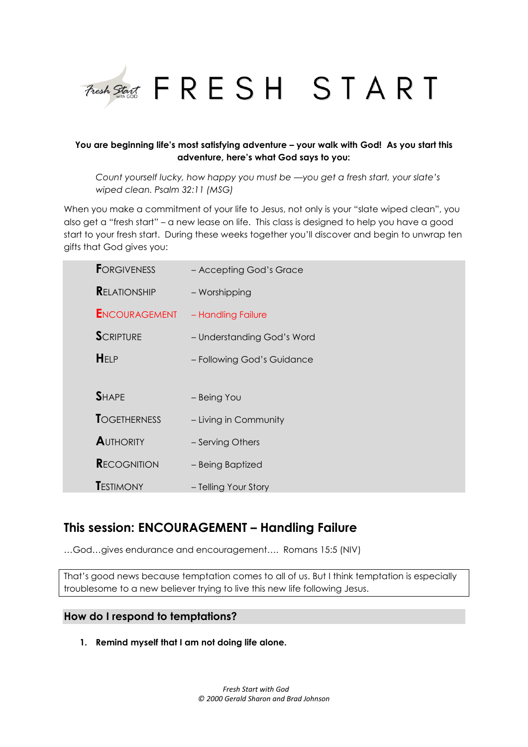

## **You are beginning life's most satisfying adventure – your walk with God! As you start this adventure, here's what God says to you:**

*Count yourself lucky, how happy you must be —you get a fresh start, your slate's wiped clean. Psalm 32:11 (MSG)*

When you make a commitment of your life to Jesus, not only is your "slate wiped clean", you also get a "fresh start" – a new lease on life. This class is designed to help you have a good start to your fresh start. During these weeks together you'll discover and begin to unwrap ten gifts that God gives you:

| <b>FORGIVENESS</b>   | - Accepting God's Grace    |
|----------------------|----------------------------|
| <b>RELATIONSHIP</b>  | - Worshipping              |
| <b>ENCOURAGEMENT</b> | - Handling Failure         |
| <b>SCRIPTURE</b>     | - Understanding God's Word |
| HELP                 | - Following God's Guidance |
|                      |                            |
| <b>SHAPE</b>         | - Being You                |
| <b>TOGETHERNESS</b>  | - Living in Community      |
| <b>AUTHORITY</b>     | - Serving Others           |
| <b>RECOGNITION</b>   | - Being Baptized           |
| <b>TESTIMONY</b>     | - Telling Your Story       |

# **This session: ENCOURAGEMENT – Handling Failure**

…God…gives endurance and encouragement…. Romans 15:5 (NIV)

That's good news because temptation comes to all of us. But I think temptation is especially troublesome to a new believer trying to live this new life following Jesus.

## **How do I respond to temptations?**

**1. Remind myself that I am not doing life alone.**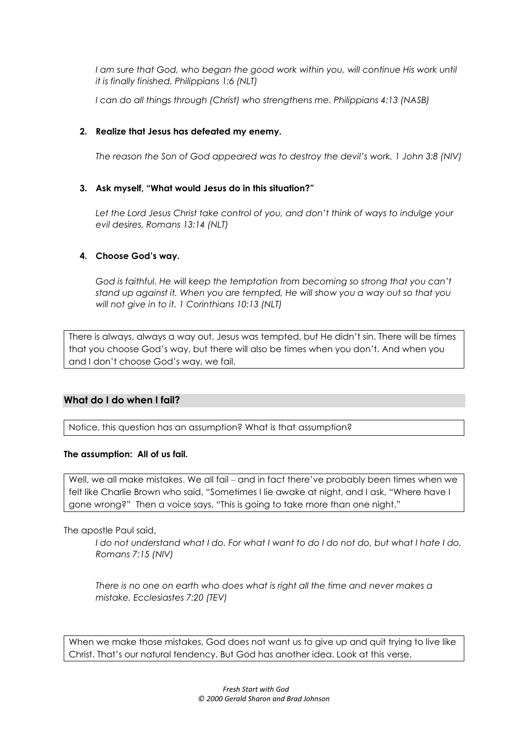*I am sure that God, who began the good work within you, will continue His work until it is finally finished. Philippians 1:6 (NLT)*

*I can do all things through (Christ) who strengthens me. Philippians 4:13 (NASB)*

## **2. Realize that Jesus has defeated my enemy.**

*The reason the Son of God appeared was to destroy the devil's work. 1 John 3:8 (NIV)*

### **3. Ask myself, "What would Jesus do in this situation?"**

Let the Lord Jesus Christ take control of you, and don't think of ways to indulge your *evil desires. Romans 13:14 (NLT)*

### **4. Choose God's way.**

*God is faithful. He will keep the temptation from becoming so strong that you can't stand up against it. When you are tempted, He will show you a way out so that you will not give in to it. 1 Corinthians 10:13 (NLT)*

There is always, always a way out. Jesus was tempted, but He didn't sin. There will be times that you choose God's way, but there will also be times when you don't. And when you and I don't choose God's way, we fail.

## **What do I do when I fail?**

Notice, this question has an assumption? What is that assumption?

#### **The assumption: All of us fail.**

Well, we all make mistakes. We all fail – and in fact there've probably been times when we felt like Charlie Brown who said, "Sometimes I lie awake at night, and I ask, "Where have I gone wrong?" Then a voice says, "This is going to take more than one night."

The apostle Paul said,

*I do not understand what I do. For what I want to do I do not do, but what I hate I do. Romans 7:15 (NIV)*

*There is no one on earth who does what is right all the time and never makes a mistake. Ecclesiastes 7:20 (TEV)*

When we make those mistakes, God does not want us to give up and quit trying to live like Christ. That's our natural tendency. But God has another idea. Look at this verse.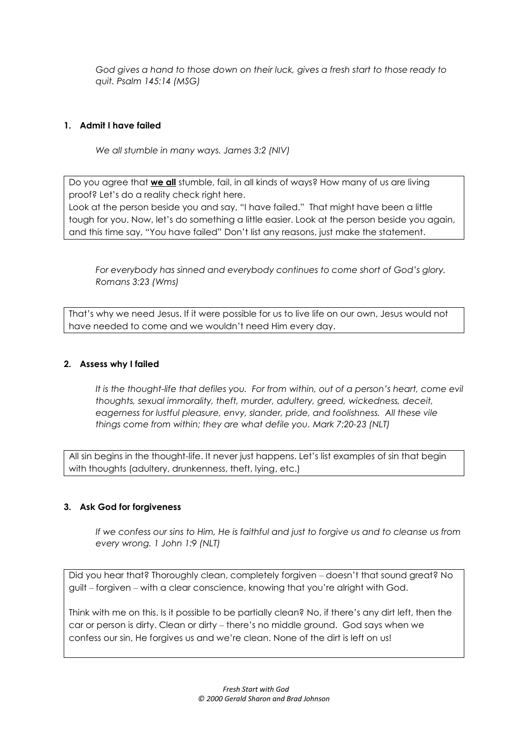*God gives a hand to those down on their luck, gives a fresh start to those ready to quit. Psalm 145:14 (MSG)*

## **1. Admit I have failed**

*We all stumble in many ways. James 3:2 (NIV)*

Do you agree that **we all** stumble, fail, in all kinds of ways? How many of us are living proof? Let's do a reality check right here.

Look at the person beside you and say, "I have failed." That might have been a little tough for you. Now, let's do something a little easier. Look at the person beside you again, and this time say, "You have failed" Don't list any reasons, just make the statement.

*For everybody has sinned and everybody continues to come short of God's glory. Romans 3:23 (Wms)*

That's why we need Jesus. If it were possible for us to live life on our own, Jesus would not have needed to come and we wouldn't need Him every day.

#### **2. Assess why I failed**

*It is the thought-life that defiles you. For from within, out of a person's heart, come evil thoughts, sexual immorality, theft, murder, adultery, greed, wickedness, deceit, eagerness for lustful pleasure, envy, slander, pride, and foolishness. All these vile things come from within; they are what defile you. Mark 7:20-23 (NLT)*

All sin begins in the thought-life. It never just happens. Let's list examples of sin that begin with thoughts (adultery, drunkenness, theft, lying, etc.)

#### **3. Ask God for forgiveness**

*If we confess our sins to Him, He is faithful and just to forgive us and to cleanse us from every wrong. 1 John 1:9 (NLT)*

Did you hear that? Thoroughly clean, completely forgiven – doesn't that sound great? No guilt ‒ forgiven ‒ with a clear conscience, knowing that you're alright with God.

Think with me on this. Is it possible to be partially clean? No, if there's any dirt left, then the car or person is dirty. Clean or dirty - there's no middle ground. God says when we confess our sin, He forgives us and we're clean. None of the dirt is left on us!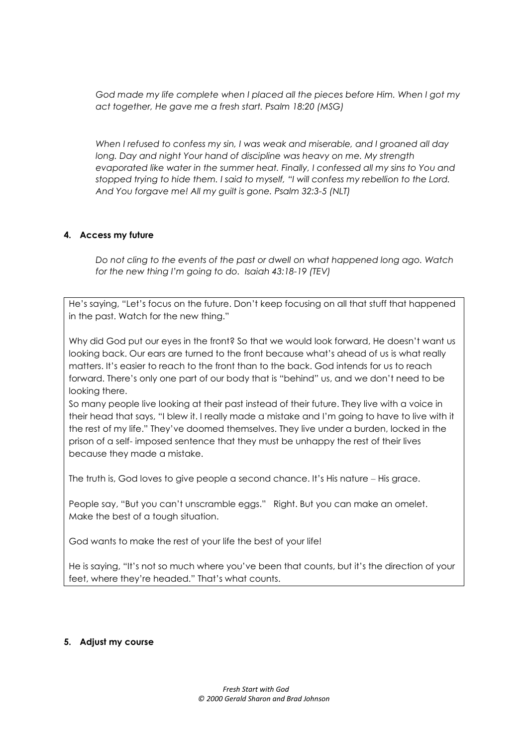God made my life complete when I placed all the pieces before Him. When I got my *act together, He gave me a fresh start. Psalm 18:20 (MSG)*

*When I refused to confess my sin, I was weak and miserable, and I groaned all day*  long. Day and night Your hand of discipline was heavy on me. My strength *evaporated like water in the summer heat. Finally, I confessed all my sins to You and stopped trying to hide them. I said to myself, "I will confess my rebellion to the Lord. And You forgave me! All my guilt is gone. Psalm 32:3-5 (NLT)*

### **4. Access my future**

*Do not cling to the events of the past or dwell on what happened long ago. Watch for the new thing I'm going to do. Isaiah 43:18-19 (TEV)*

He's saying, "Let's focus on the future. Don't keep focusing on all that stuff that happened in the past. Watch for the new thing."

Why did God put our eyes in the front? So that we would look forward, He doesn't want us looking back. Our ears are turned to the front because what's ahead of us is what really matters. It's easier to reach to the front than to the back. God intends for us to reach forward. There's only one part of our body that is "behind" us, and we don't need to be looking there.

So many people live looking at their past instead of their future. They live with a voice in their head that says, "I blew it. I really made a mistake and I'm going to have to live with it the rest of my life." They've doomed themselves. They live under a burden, locked in the prison of a self- imposed sentence that they must be unhappy the rest of their lives because they made a mistake.

The truth is, God loves to give people a second chance. It's His nature – His grace.

People say, "But you can't unscramble eggs." Right. But you can make an omelet. Make the best of a tough situation.

God wants to make the rest of your life the best of your life!

He is saying, "It's not so much where you've been that counts, but it's the direction of your feet, where they're headed." That's what counts.

#### **5. Adjust my course**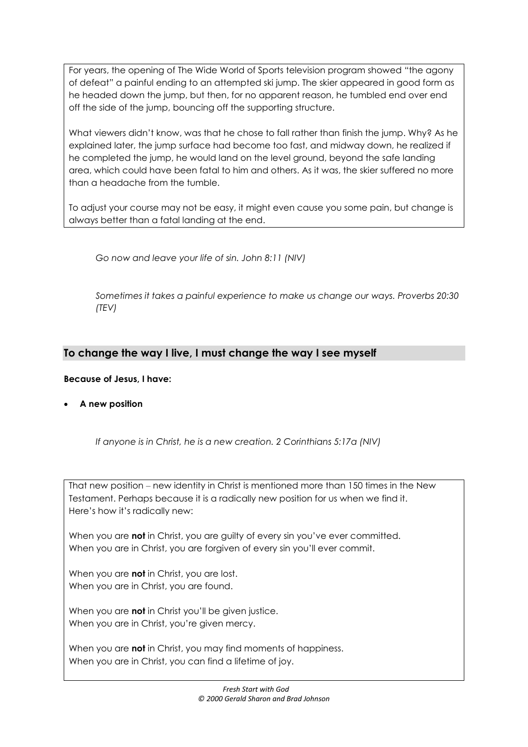For years, the opening of The Wide World of Sports television program showed "the agony of defeat" a painful ending to an attempted ski jump. The skier appeared in good form as he headed down the jump, but then, for no apparent reason, he tumbled end over end off the side of the jump, bouncing off the supporting structure.

What viewers didn't know, was that he chose to fall rather than finish the jump. Why? As he explained later, the jump surface had become too fast, and midway down, he realized if he completed the jump, he would land on the level ground, beyond the safe landing area, which could have been fatal to him and others. As it was, the skier suffered no more than a headache from the tumble.

To adjust your course may not be easy, it might even cause you some pain, but change is always better than a fatal landing at the end.

*Go now and leave your life of sin. John 8:11 (NIV)*

*Sometimes it takes a painful experience to make us change our ways. Proverbs 20:30 (TEV)*

## **To change the way I live, I must change the way I see myself**

## **Because of Jesus, I have:**

**A new position**

*If anyone is in Christ, he is a new creation. 2 Corinthians 5:17a (NIV)*

That new position – new identity in Christ is mentioned more than 150 times in the New Testament. Perhaps because it is a radically new position for us when we find it. Here's how it's radically new:

When you are **not** in Christ, you are guilty of every sin you've ever committed. When you are in Christ, you are forgiven of every sin you'll ever commit.

When you are **not** in Christ, you are lost. When you are in Christ, you are found.

When you are **not** in Christ you'll be given justice. When you are in Christ, you're given mercy.

When you are **not** in Christ, you may find moments of happiness. When you are in Christ, you can find a lifetime of joy.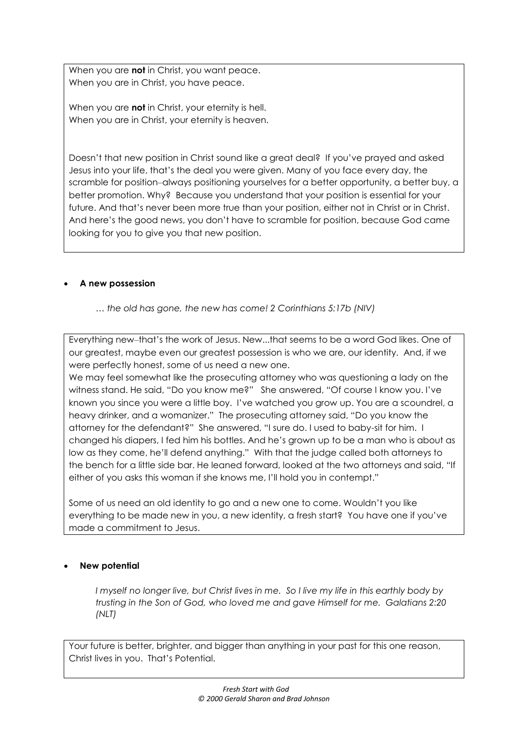When you are **not** in Christ, you want peace. When you are in Christ, you have peace.

When you are **not** in Christ, your eternity is hell. When you are in Christ, your eternity is heaven.

Doesn't that new position in Christ sound like a great deal? If you've prayed and asked Jesus into your life, that's the deal you were given. Many of you face every day, the scramble for position–always positioning yourselves for a better opportunity, a better buy, a better promotion. Why? Because you understand that your position is essential for your future. And that's never been more true than your position, either not in Christ or in Christ. And here's the good news, you don't have to scramble for position, because God came looking for you to give you that new position.

## **A new possession**

*… the old has gone, the new has come! 2 Corinthians 5:17b (NIV)*

Everything new-that's the work of Jesus. New...that seems to be a word God likes. One of our greatest, maybe even our greatest possession is who we are, our identity. And, if we were perfectly honest, some of us need a new one.

We may feel somewhat like the prosecuting attorney who was questioning a lady on the witness stand. He said, "Do you know me?" She answered, "Of course I know you. I've known you since you were a little boy. I've watched you grow up. You are a scoundrel, a heavy drinker, and a womanizer." The prosecuting attorney said, "Do you know the attorney for the defendant?" She answered, "I sure do. I used to baby-sit for him. I changed his diapers, I fed him his bottles. And he's grown up to be a man who is about as low as they come, he'll defend anything." With that the judge called both attorneys to the bench for a little side bar. He leaned forward, looked at the two attorneys and said, "If either of you asks this woman if she knows me, I'll hold you in contempt."

Some of us need an old identity to go and a new one to come. Wouldn't you like everything to be made new in you, a new identity, a fresh start? You have one if you've made a commitment to Jesus.

## **New potential**

*I myself no longer live, but Christ lives in me. So I live my life in this earthly body by trusting in the Son of God, who loved me and gave Himself for me. Galatians 2:20 (NLT)*

Your future is better, brighter, and bigger than anything in your past for this one reason, Christ lives in you. That's Potential.